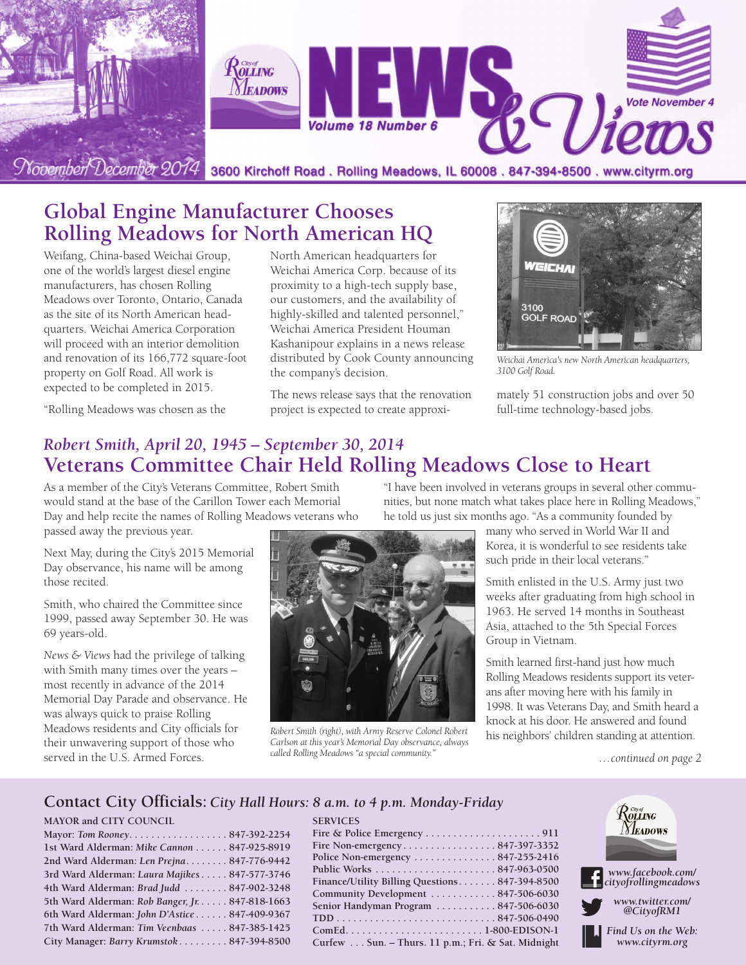

## **Global Engine Manufacturer Chooses Rolling Meadows for North American HQ**

Weifang, China-based Weichai Group, one of the world's largest diesel engine manufacturers, has chosen Rolling Meadows over Toronto, Ontario, Canada as the site of its North American headquarters. Weichai America Corporation will proceed with an interior demolition and renovation of its 166,772 square-foot property on Golf Road. All work is expected to be completed in 2015.

"Rolling Meadows was chosen as the

North American headquarters for Weichai America Corp. because of its proximity to a high-tech supply base, our customers, and the availability of highly-skilled and talented personnel," Weichai America President Houman Kashanipour explains in a news release distributed by Cook County announcing the company's decision.

The news release says that the renovation project is expected to create approxi-



*Weichai America's new North American headquarters, 3100 Golf Road.*

mately 51 construction jobs and over 50 full-time technology-based jobs.

### *Robert Smith, April 20, 1945 – September 30, 2014* **Veterans Committee Chair Held Rolling Meadows Close to Heart**

As a member of the City's Veterans Committee, Robert Smith would stand at the base of the Carillon Tower each Memorial Day and help recite the names of Rolling Meadows veterans who passed away the previous year.

Next May, during the City's 2015 Memorial Day observance, his name will be among those recited.

Smith, who chaired the Committee since 1999, passed away September 30. He was 69 years-old.

*News & Views* had the privilege of talking with Smith many times over the years – most recently in advance of the 2014 Memorial Day Parade and observance. He was always quick to praise Rolling Meadows residents and City officials for their unwavering support of those who served in the U.S. Armed Forces.



*Robert Smith (right), with Army Reserve Colonel Robert Carlson at this year's Memorial Day observance, always called Rolling Meadows "a special community."*

**SERVICES**

"I have been involved in veterans groups in several other communities, but none match what takes place here in Rolling Meadows," he told us just six months ago. "As a community founded by

many who served in World War II and Korea, it is wonderful to see residents take such pride in their local veterans."

Smith enlisted in the U.S. Army just two weeks after graduating from high school in 1963. He served 14 months in Southeast Asia, attached to the 5th Special Forces Group in Vietnam.

Smith learned first-hand just how much Rolling Meadows residents support its veterans after moving here with his family in 1998. It was Veterans Day, and Smith heard a knock at his door. He answered and found his neighbors' children standing at attention.

*…continued on page 2*

#### **Contact City Officials:** *City Hall Hours: 8 a.m. to 4 p.m. Monday-Friday*

#### **MAYOR and CITY COUNCIL**

| Mayor: Tom Rooney847-392-2254                   |  |
|-------------------------------------------------|--|
| 1st Ward Alderman: Mike Cannon 847-925-8919     |  |
| 2nd Ward Alderman: Len Prejna 847-776-9442      |  |
| 3rd Ward Alderman: Laura Majikes 847-577-3746   |  |
| 4th Ward Alderman: Brad Judd  847-902-3248      |  |
| 5th Ward Alderman: Rob Banger, Jr. 847-818-1663 |  |
| 6th Ward Alderman: John D'Astice 847-409-9367   |  |
| 7th Ward Alderman: Tim Veenbaas  847-385-1425   |  |
| City Manager: Barry Krumstok 847-394-8500       |  |

| Fire Non-emergency847-397-3352                      |
|-----------------------------------------------------|
| Police Non-emergency 847-255-2416                   |
|                                                     |
| Finance/Utility Billing Questions 847-394-8500      |
| Community Development  847-506-6030                 |
| Senior Handyman Program 847-506-6030                |
|                                                     |
|                                                     |
| Curfew  Sun. - Thurs. 11 p.m.; Fri. & Sat. Midnight |

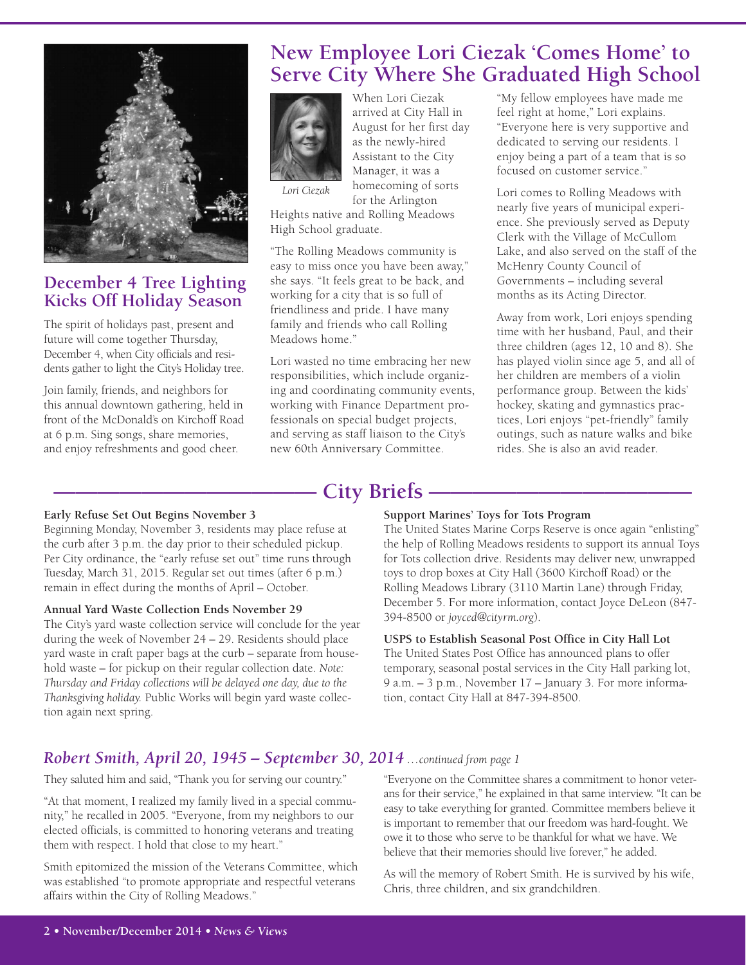

### **December 4 Tree Lighting Kicks Off Holiday Season**

The spirit of holidays past, present and future will come together Thursday, December 4, when City officials and residents gather to light the City's Holiday tree.

Join family, friends, and neighbors for this annual downtown gathering, held in front of the McDonald's on Kirchoff Road at 6 p.m. Sing songs, share memories, and enjoy refreshments and good cheer.

## **New Employee Lori Ciezak 'Comes Home' to Serve City Where She Graduated High School**



arrived at City Hall in August for her first day as the newly-hired Assistant to the City Manager, it was a homecoming of sorts for the Arlington

When Lori Ciezak

*Lori Ciezak*

Heights native and Rolling Meadows High School graduate.

"The Rolling Meadows community is easy to miss once you have been away," she says. "It feels great to be back, and working for a city that is so full of friendliness and pride. I have many family and friends who call Rolling Meadows home."

Lori wasted no time embracing her new responsibilities, which include organizing and coordinating community events, working with Finance Department professionals on special budget projects, and serving as staff liaison to the City's new 60th Anniversary Committee.

"My fellow employees have made me feel right at home," Lori explains. "Everyone here is very supportive and dedicated to serving our residents. I enjoy being a part of a team that is so focused on customer service."

Lori comes to Rolling Meadows with nearly five years of municipal experience. She previously served as Deputy Clerk with the Village of McCullom Lake, and also served on the staff of the McHenry County Council of Governments – including several months as its Acting Director.

Away from work, Lori enjoys spending time with her husband, Paul, and their three children (ages 12, 10 and 8). She has played violin since age 5, and all of her children are members of a violin performance group. Between the kids' hockey, skating and gymnastics practices, Lori enjoys "pet-friendly" family outings, such as nature walks and bike rides. She is also an avid reader.

## **———————————— City Briefs ————————————**

#### **Early Refuse Set Out Begins November 3**

Beginning Monday, November 3, residents may place refuse at the curb after 3 p.m. the day prior to their scheduled pickup. Per City ordinance, the "early refuse set out" time runs through Tuesday, March 31, 2015. Regular set out times (after 6 p.m.) remain in effect during the months of April – October.

#### **Annual Yard Waste Collection Ends November 29**

The City's yard waste collection service will conclude for the year during the week of November 24 – 29. Residents should place yard waste in craft paper bags at the curb – separate from household waste – for pickup on their regular collection date. *Note: Thursday and Friday collections will be delayed one day, due to the Thanksgiving holiday.* Public Works will begin yard waste collection again next spring.

#### **Support Marines' Toys for Tots Program**

The United States Marine Corps Reserve is once again "enlisting" the help of Rolling Meadows residents to support its annual Toys for Tots collection drive. Residents may deliver new, unwrapped toys to drop boxes at City Hall (3600 Kirchoff Road) or the Rolling Meadows Library (3110 Martin Lane) through Friday, December 5. For more information, contact Joyce DeLeon (847- 394-8500 or *joyced@cityrm.org*).

#### **USPS to Establish Seasonal Post Office in City Hall Lot**

The United States Post Office has announced plans to offer temporary, seasonal postal services in the City Hall parking lot, 9 a.m. – 3 p.m., November 17 – January 3. For more information, contact City Hall at 847-394-8500.

### *Robert Smith, April 20, 1945 – September 30, 2014 …continued from page 1*

They saluted him and said, "Thank you for serving our country."

"At that moment, I realized my family lived in a special community," he recalled in 2005. "Everyone, from my neighbors to our elected officials, is committed to honoring veterans and treating them with respect. I hold that close to my heart."

Smith epitomized the mission of the Veterans Committee, which was established "to promote appropriate and respectful veterans affairs within the City of Rolling Meadows."

"Everyone on the Committee shares a commitment to honor veterans for their service," he explained in that same interview. "It can be easy to take everything for granted. Committee members believe it is important to remember that our freedom was hard-fought. We owe it to those who serve to be thankful for what we have. We believe that their memories should live forever," he added.

As will the memory of Robert Smith. He is survived by his wife, Chris, three children, and six grandchildren.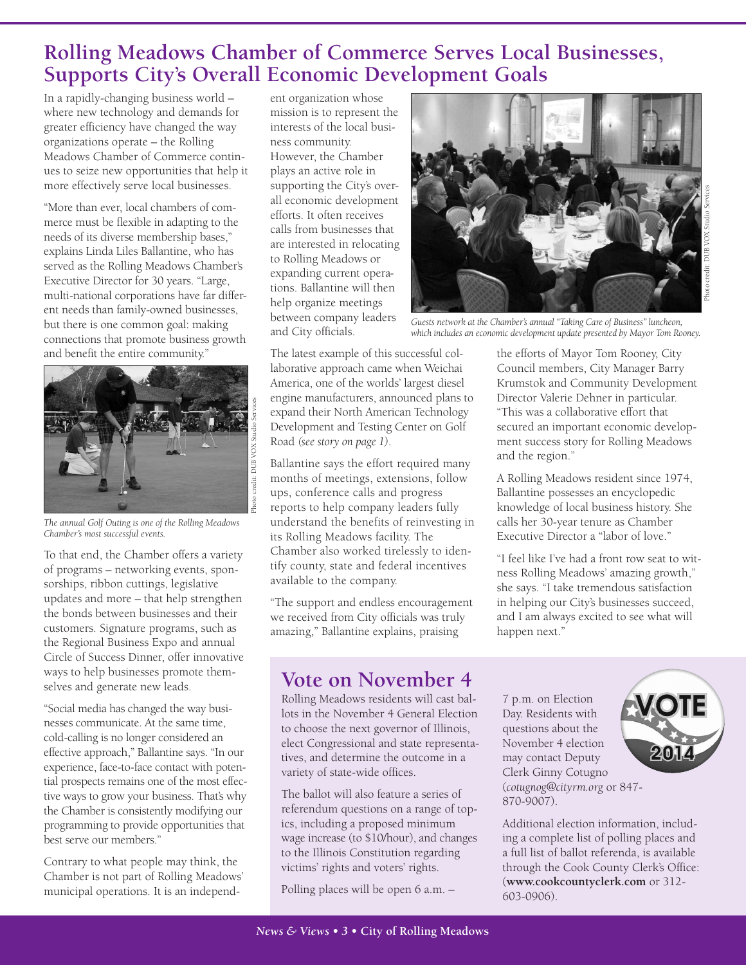## **Rolling Meadows Chamber of Commerce Serves Local Businesses, Supports City's Overall Economic Development Goals**

In a rapidly-changing business world – where new technology and demands for greater efficiency have changed the way organizations operate – the Rolling Meadows Chamber of Commerce continues to seize new opportunities that help it more effectively serve local businesses.

"More than ever, local chambers of commerce must be flexible in adapting to the needs of its diverse membership bases," explains Linda Liles Ballantine, who has served as the Rolling Meadows Chamber's Executive Director for 30 years. "Large, multi-national corporations have far different needs than family-owned businesses, but there is one common goal: making connections that promote business growth and benefit the entire community."



*The annual Golf Outing is one of the Rolling Meadows Chamber's most successful events.*

To that end, the Chamber offers a variety of programs – networking events, sponsorships, ribbon cuttings, legislative updates and more – that help strengthen the bonds between businesses and their customers. Signature programs, such as the Regional Business Expo and annual Circle of Success Dinner, offer innovative ways to help businesses promote themselves and generate new leads.

"Social media has changed the way businesses communicate. At the same time, cold-calling is no longer considered an effective approach," Ballantine says. "In our experience, face-to-face contact with potential prospects remains one of the most effective ways to grow your business. That's why the Chamber is consistently modifying our programming to provide opportunities that best serve our members."

Contrary to what people may think, the Chamber is not part of Rolling Meadows' municipal operations. It is an independ-

ent organization whose mission is to represent the interests of the local business community. However, the Chamber plays an active role in supporting the City's overall economic development efforts. It often receives calls from businesses that are interested in relocating to Rolling Meadows or expanding current operations. Ballantine will then help organize meetings between company leaders and City officials.

The latest example of this successful collaborative approach came when Weichai America, one of the worlds' largest diesel engine manufacturers, announced plans to expand their North American Technology Development and Testing Center on Golf Road *(see story on page 1)*.

Ballantine says the effort required many months of meetings, extensions, follow ups, conference calls and progress reports to help company leaders fully understand the benefits of reinvesting in its Rolling Meadows facility. The Chamber also worked tirelessly to identify county, state and federal incentives available to the company.

"The support and endless encouragement we received from City officials was truly amazing," Ballantine explains, praising



*Guests network at the Chamber's annual "Taking Care of Business" luncheon, which includes an economic development update presented by Mayor Tom Rooney.*

the efforts of Mayor Tom Rooney, City Council members, City Manager Barry Krumstok and Community Development Director Valerie Dehner in particular. "This was a collaborative effort that secured an important economic development success story for Rolling Meadows and the region."

A Rolling Meadows resident since 1974, Ballantine possesses an encyclopedic knowledge of local business history. She calls her 30-year tenure as Chamber Executive Director a "labor of love."

"I feel like I've had a front row seat to witness Rolling Meadows' amazing growth," she says. "I take tremendous satisfaction in helping our City's businesses succeed, and I am always excited to see what will happen next."

### **Vote on November 4**

Rolling Meadows residents will cast ballots in the November 4 General Election to choose the next governor of Illinois, elect Congressional and state representatives, and determine the outcome in a variety of state-wide offices.

The ballot will also feature a series of referendum questions on a range of topics, including a proposed minimum wage increase (to \$10/hour), and changes to the Illinois Constitution regarding victims' rights and voters' rights.

Polling places will be open 6 a.m. –

7 p.m. on Election Day. Residents with questions about the November 4 election may contact Deputy Clerk Ginny Cotugno (*cotugnog@cityrm.org* or 847- 870-9007).



Additional election information, including a complete list of polling places and a full list of ballot referenda, is available through the Cook County Clerk's Office: (**www.cookcountyclerk.com** or 312- 603-0906).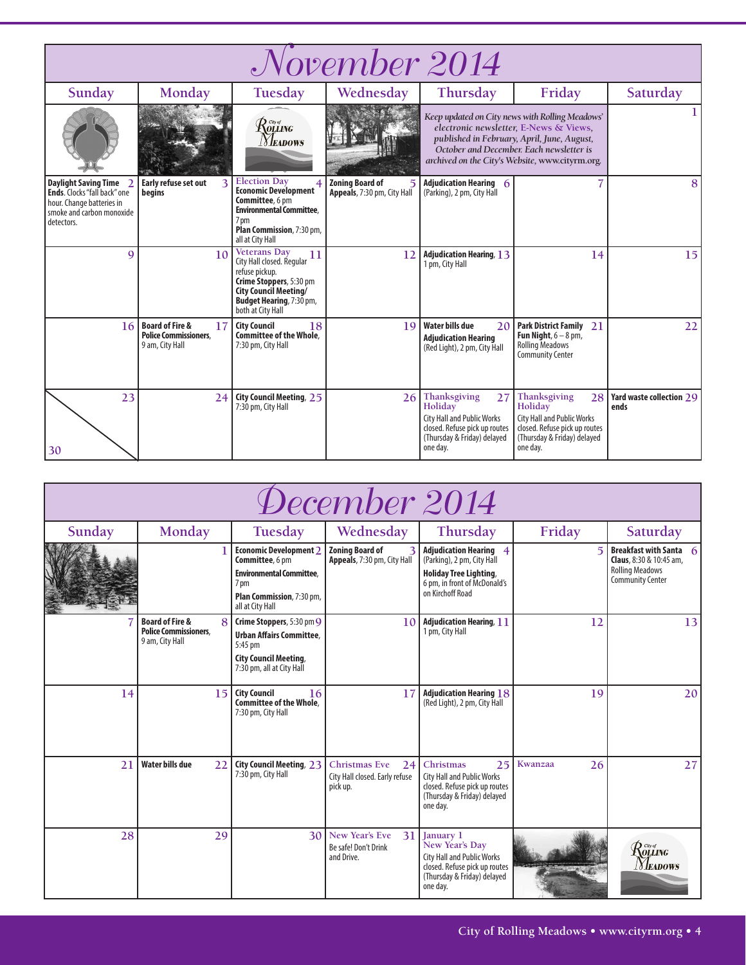| November 2014                                                                                                                              |                                                                                     |                                                                                                                                                                                             |                                                       |                                                                                                                                                |                                                                                                                                                                                                                                         |                                  |  |
|--------------------------------------------------------------------------------------------------------------------------------------------|-------------------------------------------------------------------------------------|---------------------------------------------------------------------------------------------------------------------------------------------------------------------------------------------|-------------------------------------------------------|------------------------------------------------------------------------------------------------------------------------------------------------|-----------------------------------------------------------------------------------------------------------------------------------------------------------------------------------------------------------------------------------------|----------------------------------|--|
| Sunday                                                                                                                                     | Monday                                                                              | Tuesday                                                                                                                                                                                     | Wednesday                                             | Thursday                                                                                                                                       | Friday                                                                                                                                                                                                                                  | Saturday                         |  |
|                                                                                                                                            |                                                                                     | $\mathcal{R}$ outro<br><b>Neadows</b>                                                                                                                                                       |                                                       |                                                                                                                                                | Keep updated on City news with Rolling Meadows'<br>electronic newsletter, E-News & Views,<br>published in February, April, June, August,<br>October and December. Each newsletter is<br>archived on the City's Website, www.cityrm.org. |                                  |  |
| <b>Daylight Saving Time</b><br><b>Ends.</b> Clocks "fall back" one<br>hour. Change batteries in<br>smoke and carbon monoxide<br>detectors. | Early refuse set out<br>begins                                                      | <b>Election Day</b><br>4<br><b>Economic Development</b><br>Committee, 6 pm<br><b>Environmental Committee.</b><br>7 pm<br>Plan Commission, 7:30 pm,<br>all at City Hall                      | <b>Zoning Board of</b><br>Appeals, 7:30 pm, City Hall | Adjudication Hearing 6<br>(Parking), 2 pm, City Hall                                                                                           |                                                                                                                                                                                                                                         | 8                                |  |
| 9                                                                                                                                          | 10                                                                                  | <b>Veterans Day</b><br>11<br>City Hall closed. Regular<br>refuse pickup.<br>Crime Stoppers, 5:30 pm<br><b>City Council Meeting/</b><br><b>Budget Hearing, 7:30 pm,</b><br>both at City Hall | 12                                                    | <b>Adjudication Hearing, 13</b><br>1 pm, City Hall                                                                                             | 14                                                                                                                                                                                                                                      | 15                               |  |
| 16                                                                                                                                         | <b>Board of Fire &amp;</b><br>17<br><b>Police Commissioners.</b><br>9 am, City Hall | <b>City Council</b><br>18<br>Committee of the Whole.<br>7:30 pm, City Hall                                                                                                                  | 19                                                    | Water bills due<br>20<br><b>Adjudication Hearing</b><br>(Red Light), 2 pm, City Hall                                                           | <b>Park District Family 21</b><br>Fun Night, $6 - 8$ pm,<br><b>Rolling Meadows</b><br><b>Community Center</b>                                                                                                                           | 22                               |  |
| 23<br>30                                                                                                                                   | 24                                                                                  | City Council Meeting, 25<br>7:30 pm, City Hall                                                                                                                                              | 26                                                    | Thanksgiving<br>27<br>Holiday<br><b>City Hall and Public Works</b><br>closed. Refuse pick up routes<br>(Thursday & Friday) delayed<br>one day. | Thanksgiving<br>28<br>Holiday<br><b>City Hall and Public Works</b><br>closed. Refuse pick up routes<br>(Thursday & Friday) delayed<br>one day.                                                                                          | Yard waste collection 29<br>ends |  |

| December 2014 |                                                                               |                                                                                                                                                         |                                                                          |                                                                                                                                                  |               |                                                                                                                          |  |
|---------------|-------------------------------------------------------------------------------|---------------------------------------------------------------------------------------------------------------------------------------------------------|--------------------------------------------------------------------------|--------------------------------------------------------------------------------------------------------------------------------------------------|---------------|--------------------------------------------------------------------------------------------------------------------------|--|
| Sunday        | Monday                                                                        | Tuesday                                                                                                                                                 | Wednesday                                                                | Thursday                                                                                                                                         | Friday        | Saturday                                                                                                                 |  |
|               |                                                                               | <b>Economic Development 2</b><br>Committee, 6 pm<br><b>Environmental Committee.</b><br>7 <sub>pm</sub><br>Plan Commission, 7:30 pm,<br>all at City Hall | <b>Zoning Board of</b><br>Appeals, 7:30 pm, City Hall                    | <b>Adjudication Hearing 4</b><br>(Parking), 2 pm, City Hall<br><b>Holiday Tree Lighting,</b><br>6 pm, in front of McDonald's<br>on Kirchoff Road | 5             | <b>Breakfast with Santa</b><br>6<br><b>Claus</b> , 8:30 & 10:45 am,<br><b>Rolling Meadows</b><br><b>Community Center</b> |  |
|               | <b>Board of Fire &amp;</b><br><b>Police Commissioners.</b><br>9 am, City Hall | Crime Stoppers, 5:30 pm 9<br><b>Urban Affairs Committee.</b><br>5:45 pm<br><b>City Council Meeting,</b><br>7:30 pm, all at City Hall                    | 10                                                                       | <b>Adjudication Hearing, 11</b><br>1 pm, City Hall                                                                                               | 12            | 13                                                                                                                       |  |
| 14            | 15                                                                            | <b>City Council</b><br>16<br><b>Committee of the Whole.</b><br>7:30 pm, City Hall                                                                       | 17                                                                       | <b>Adjudication Hearing 18</b><br>(Red Light), 2 pm, City Hall                                                                                   | 19            | 20                                                                                                                       |  |
| 21            | <b>Water bills due</b><br>22                                                  | City Council Meeting, 23<br>7:30 pm, City Hall                                                                                                          | <b>Christmas Eve</b><br>24<br>City Hall closed. Early refuse<br>pick up. | Christmas<br>25<br><b>City Hall and Public Works</b><br>closed. Refuse pick up routes<br>(Thursday & Friday) delayed<br>one dav.                 | Kwanzaa<br>26 | 27                                                                                                                       |  |
| 28            | 29                                                                            | 30 <sup>1</sup>                                                                                                                                         | <b>New Year's Eve</b><br>31<br>Be safe! Don't Drink<br>and Drive.        | January 1<br>New Year's Day<br><b>City Hall and Public Works</b><br>closed. Refuse pick up routes<br>(Thursday & Friday) delayed<br>one day.     |               | $\mathcal{R}$ olling<br><i>[Y]eadows</i>                                                                                 |  |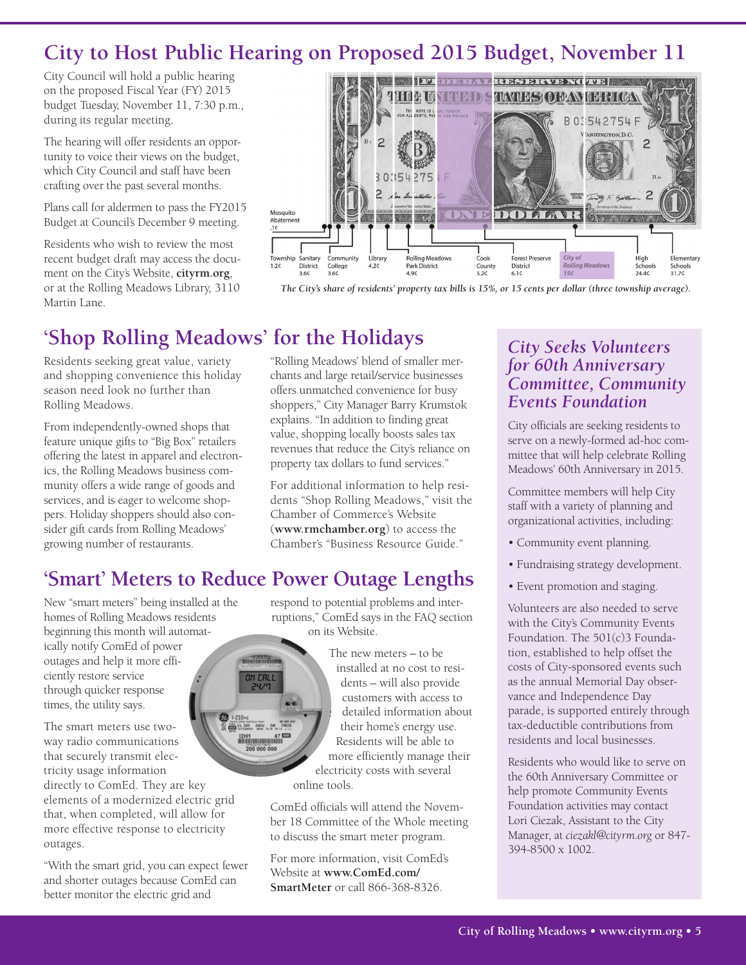# **City to Host Public Hearing on Proposed 2015 Budget, November 11**

City Council will hold a public hearing on the proposed Fiscal Year (FY) 2015 budget Tuesday, November 11, 7:30 p.m., during its regular meeting.

The hearing will offer residents an opportunity to voice their views on the budget, which City Council and staff have been crafting over the past several months.

Plans call for aldermen to pass the FY2015 Budget at Council's December 9 meeting.

Residents who wish to review the most recent budget draft may access the document on the City's Website, **cityrm.org**, or at the Rolling Meadows Library, 3110 Martin Lane.



The City's share of residents' property tax bills is 15%, or 15 cents per dollar (three township average).

# **'Shop Rolling Meadows' for the Holidays**

Residents seeking great value, variety and shopping convenience this holiday season need look no further than Rolling Meadows.

From independently-owned shops that feature unique gifts to "Big Box" retailers offering the latest in apparel and electronics, the Rolling Meadows business community offers a wide range of goods and services, and is eager to welcome shoppers. Holiday shoppers should also consider gift cards from Rolling Meadows' growing number of restaurants.

"Rolling Meadows' blend of smaller merchants and large retail/service businesses offers unmatched convenience for busy shoppers," City Manager Barry Krumstok explains. "In addition to finding great value, shopping locally boosts sales tax revenues that reduce the City's reliance on property tax dollars to fund services."

For additional information to help residents "Shop Rolling Meadows," visit the Chamber of Commerce's Website (**www.rmchamber.org**) to access the Chamber's "Business Resource Guide."

## **'Smart' Meters to Reduce Power Outage Lengths**

New "smart meters" being installed at the homes of Rolling Meadows residents beginning this month will automatically notify ComEd of power outages and help it more efficiently restore service through quicker response times, the utility says.

The smart meters use twoway radio communications that securely transmit electricity usage information directly to ComEd. They are key elements of a modernized electric grid that, when completed, will allow for more effective response to electricity outages.

"With the smart grid, you can expect fewer and shorter outages because ComEd can better monitor the electric grid and

respond to potential problems and interruptions," ComEd says in the FAQ section on its Website.

> The new meters – to be installed at no cost to residents – will also provide customers with access to detailed information about their home's energy use. Residents will be able to more efficiently manage their electricity costs with several online tools.

ComEd officials will attend the November 18 Committee of the Whole meeting to discuss the smart meter program.

For more information, visit ComEd's Website at **www.ComEd.com/ SmartMeter** or call 866-368-8326.

### *City Seeks Volunteers for 60th Anniversary Committee, Community Events Foundation*

City officials are seeking residents to serve on a newly-formed ad-hoc committee that will help celebrate Rolling Meadows' 60th Anniversary in 2015.

Committee members will help City staff with a variety of planning and organizational activities, including:

- Community event planning.
- Fundraising strategy development.
- Event promotion and staging.

Volunteers are also needed to serve with the City's Community Events Foundation. The 501(c)3 Foundation, established to help offset the costs of City-sponsored events such as the annual Memorial Day observance and Independence Day parade, is supported entirely through tax-deductible contributions from residents and local businesses.

Residents who would like to serve on the 60th Anniversary Committee or help promote Community Events Foundation activities may contact Lori Ciezak, Assistant to the City Manager, at *ciezakl@cityrm.org* or 847- 394-8500 x 1002.